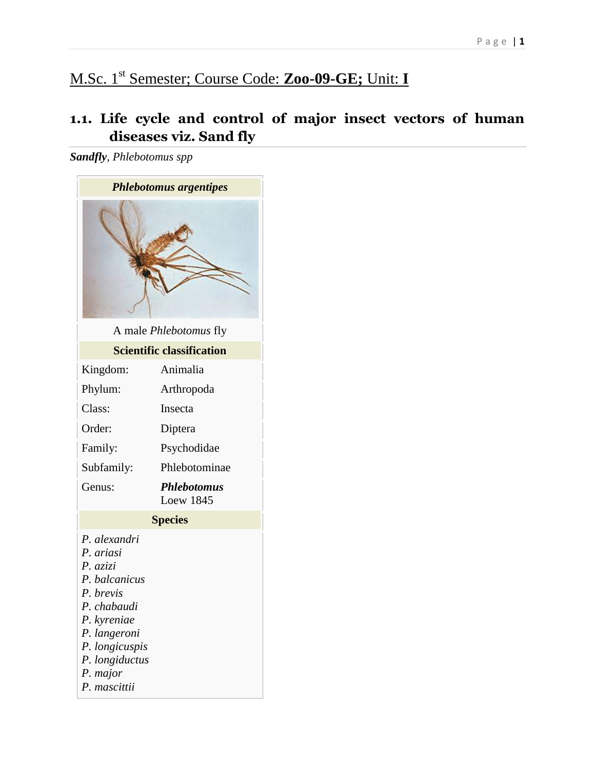# M.Sc. 1st Semester; Course Code: **Zoo-09-GE;** Unit: **I**

# **1.1. Life cycle and control of major insect vectors of human diseases viz. Sand fly**

*Sandfly, Phlebotomus spp*

| <b>Phlebotomus argentipes</b>                                                                                                                                                     |                                        |  |
|-----------------------------------------------------------------------------------------------------------------------------------------------------------------------------------|----------------------------------------|--|
|                                                                                                                                                                                   |                                        |  |
| A male <i>Phlebotomus</i> fly                                                                                                                                                     |                                        |  |
| <b>Scientific classification</b>                                                                                                                                                  |                                        |  |
| Kingdom:                                                                                                                                                                          | Animalia                               |  |
| Phylum:                                                                                                                                                                           | Arthropoda                             |  |
| Class:                                                                                                                                                                            | Insecta                                |  |
| Order:                                                                                                                                                                            | Diptera                                |  |
| Family:                                                                                                                                                                           | Psychodidae                            |  |
| Subfamily:                                                                                                                                                                        | Phlebotominae                          |  |
| Genus:                                                                                                                                                                            | <b>Phlebotomus</b><br><b>Loew 1845</b> |  |
| <b>Species</b>                                                                                                                                                                    |                                        |  |
| P. alexandri<br>P. ariasi<br>P. azizi<br>P. balcanicus<br>P. brevis<br>P. chabaudi<br>P. kyreniae<br>P. langeroni<br>P. longicuspis<br>P. longiductus<br>P. major<br>P. mascittii |                                        |  |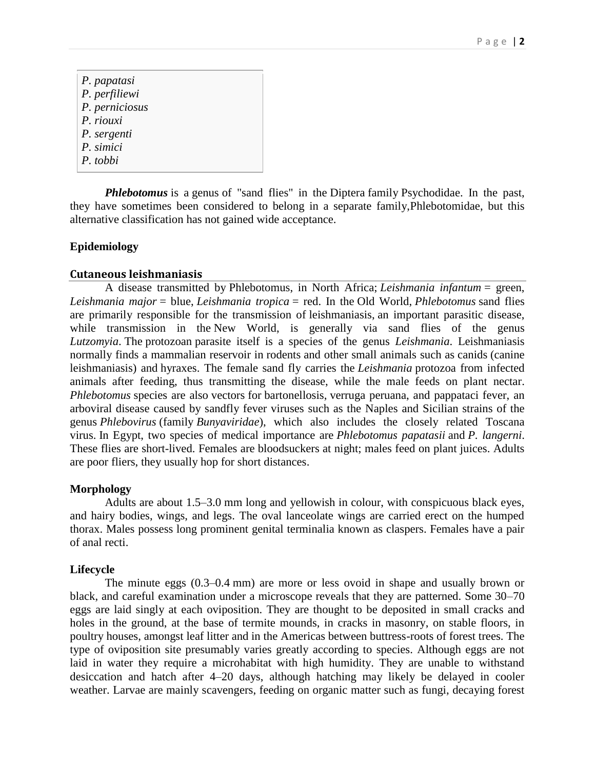*[P. papatasi](https://en.wikipedia.org/w/index.php?title=Phlebotomus_papatasi&action=edit&redlink=1) [P. perfiliewi](https://en.wikipedia.org/w/index.php?title=Phlebotomus_perfiliewi&action=edit&redlink=1) [P. perniciosus](https://en.wikipedia.org/w/index.php?title=Phlebotomus_perniciosus&action=edit&redlink=1) [P. riouxi](https://en.wikipedia.org/w/index.php?title=Phlebotomus_riouxi&action=edit&redlink=1) [P. sergenti](https://en.wikipedia.org/w/index.php?title=Phlebotomus_sergenti&action=edit&redlink=1) [P. simici](https://en.wikipedia.org/w/index.php?title=Phlebotomus_simici&action=edit&redlink=1) [P. tobbi](https://en.wikipedia.org/w/index.php?title=Phlebotomus_tobbi&action=edit&redlink=1)*

**Phlebotomus** is a [genus](https://en.wikipedia.org/wiki/Genus) of ["sand flies"](https://en.wikipedia.org/wiki/Sand_fly) in the [Diptera](https://en.wikipedia.org/wiki/Diptera) family [Psychodidae.](https://en.wikipedia.org/wiki/Psychodidae) In the past, they have sometimes been considered to belong in a separate family[,Phlebotomidae,](https://en.wikipedia.org/wiki/Phlebotomidae) but this alternative classification has not gained wide acceptance.

# **Epidemiology**

### **Cutaneous leishmaniasis**

A disease transmitted by Phlebotomus, in North Africa; *[Leishmania](https://en.wikipedia.org/wiki/Leishmania_infantum) infantum* = green, *Leishmania major* = blue, *[Leishmania](https://en.wikipedia.org/wiki/Leishmania_tropica) tropica* = red. In the [Old World,](https://en.wikipedia.org/wiki/Old_World) *Phlebotomus* sand flies are primarily responsible for the transmission of [leishmaniasis,](https://en.wikipedia.org/wiki/Leishmaniasis) an important parasitic disease, while transmission in the [New World,](https://en.wikipedia.org/wiki/New_World) is generally via sand flies of the genus *[Lutzomyia](https://en.wikipedia.org/wiki/Lutzomyia)*. The protozoan [parasite](https://en.wikipedia.org/wiki/Parasite) itself is a species of the genus *[Leishmania](https://en.wikipedia.org/wiki/Leishmania)*. Leishmaniasis normally finds a mammalian reservoir in [rodents](https://en.wikipedia.org/wiki/Rodents) and other small animals such as [canids](https://en.wikipedia.org/wiki/Canids) (canine leishmaniasis) and [hyraxes.](https://en.wikipedia.org/wiki/Hyraxes) The female sand fly carries the *Leishmania* protozoa from infected animals after feeding, thus transmitting the disease, while the male feeds on plant nectar. *Phlebotomus* species are also [vectors](https://en.wikipedia.org/wiki/Vector_(epidemiology)) for [bartonellosis,](https://en.wikipedia.org/wiki/Bartonellosis) [verruga peruana,](https://en.wikipedia.org/wiki/Verruga_peruana) and [pappataci fever,](https://en.wikipedia.org/wiki/Pappataci_fever) an arboviral disease caused by sandfly fever viruses such as the Naples and Sicilian strains of the genus *[Phlebovirus](https://en.wikipedia.org/wiki/Phleboviruses)* (family *[Bunyaviridae](https://en.wikipedia.org/wiki/Bunyaviridae)*), which also includes the closely related Toscana virus. In Egypt, two species of medical importance are *Phlebotomus papatasii* and *P. langerni*. These flies are short-lived. Females are bloodsuckers at night; males feed on plant juices. Adults are poor fliers, they usually hop for short distances.

#### **Morphology**

Adults are about 1.5–3.0 mm long and yellowish in colour, with conspicuous black eyes, and hairy bodies, wings, and legs. The oval lanceolate wings are carried erect on the humped thorax. Males possess long prominent genital terminalia known as claspers. Females have a pair of anal recti.

#### **Lifecycle**

The minute eggs (0.3–0.4 mm) are more or less ovoid in shape and usually brown or black, and careful examination under a microscope reveals that they are patterned. Some 30–70 eggs are laid singly at each oviposition. They are thought to be deposited in small cracks and holes in the ground, at the base of termite mounds, in cracks in masonry, on stable floors, in poultry houses, amongst leaf litter and in the Americas between buttress-roots of forest trees. The type of oviposition site presumably varies greatly according to species. Although eggs are not laid in water they require a microhabitat with high humidity. They are unable to withstand desiccation and hatch after 4–20 days, although hatching may likely be delayed in cooler weather. Larvae are mainly scavengers, feeding on organic matter such as fungi, decaying forest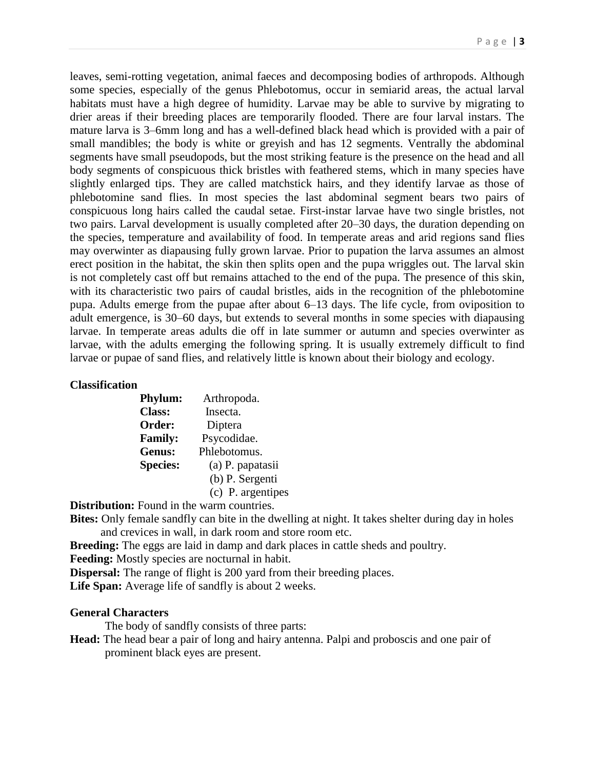leaves, semi-rotting vegetation, animal faeces and decomposing bodies of arthropods. Although some species, especially of the genus Phlebotomus, occur in semiarid areas, the actual larval habitats must have a high degree of humidity. Larvae may be able to survive by migrating to drier areas if their breeding places are temporarily flooded. There are four larval instars. The mature larva is 3–6mm long and has a well-defined black head which is provided with a pair of small mandibles; the body is white or greyish and has 12 segments. Ventrally the abdominal segments have small pseudopods, but the most striking feature is the presence on the head and all body segments of conspicuous thick bristles with feathered stems, which in many species have slightly enlarged tips. They are called matchstick hairs, and they identify larvae as those of phlebotomine sand flies. In most species the last abdominal segment bears two pairs of conspicuous long hairs called the caudal setae. First-instar larvae have two single bristles, not two pairs. Larval development is usually completed after 20–30 days, the duration depending on the species, temperature and availability of food. In temperate areas and arid regions sand flies may overwinter as diapausing fully grown larvae. Prior to pupation the larva assumes an almost erect position in the habitat, the skin then splits open and the pupa wriggles out. The larval skin is not completely cast off but remains attached to the end of the pupa. The presence of this skin, with its characteristic two pairs of caudal bristles, aids in the recognition of the phlebotomine pupa. Adults emerge from the pupae after about 6–13 days. The life cycle, from oviposition to adult emergence, is 30–60 days, but extends to several months in some species with diapausing larvae. In temperate areas adults die off in late summer or autumn and species overwinter as larvae, with the adults emerging the following spring. It is usually extremely difficult to find larvae or pupae of sand flies, and relatively little is known about their biology and ecology.

#### **Classification**

| <b>Phylum:</b>  | Arthropoda.       |
|-----------------|-------------------|
| <b>Class:</b>   | Insecta.          |
| Order:          | Diptera           |
| <b>Family:</b>  | Psycodidae.       |
| <b>Genus:</b>   | Phlebotomus.      |
| <b>Species:</b> | (a) P. papatasii  |
|                 | (b) P. Sergenti   |
|                 | (c) P. argentipes |

**Distribution:** Found in the warm countries.

**Bites:** Only female sandfly can bite in the dwelling at night. It takes shelter during day in holes and crevices in wall, in dark room and store room etc.

**Breeding:** The eggs are laid in damp and dark places in cattle sheds and poultry.

**Feeding:** Mostly species are nocturnal in habit.

**Dispersal:** The range of flight is 200 yard from their breeding places.

**Life Span:** Average life of sandfly is about 2 weeks.

#### **General Characters**

The body of sandfly consists of three parts:

**Head:** The head bear a pair of long and hairy antenna. Palpi and proboscis and one pair of prominent black eyes are present.